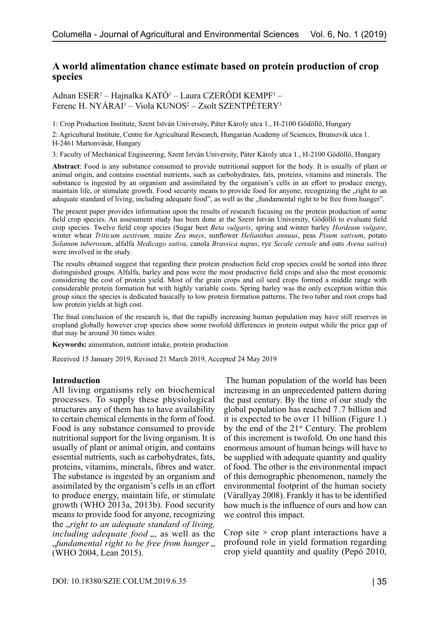# **A world alimentation chance estimate based on protein production of crop species**

Adnan ESER<sup>1</sup> – Hajnalka KATÓ<sup>1</sup> – Laura CZERŐDI KEMPF<sup>1</sup> – Ferenc H. NYÁRAI<sup>1</sup> – Viola KUNOS<sup>2</sup> – Zsolt SZENTPÉTERY<sup>3</sup>

1: Crop Production Institute, Szent István University, Páter Károly utca 1., H-2100 Gödöllő, Hungary

2: Agricultural Institute, Centre for Agricultural Research, Hungarian Academy of Sciences, Brunszvik utca 1. H-2461 Martonvásár, Hungary

3: Faculty of Mechanical Engineering, Szent István University, Páter Károly utca 1., H-2100 Gödöllő, Hungary

**Abstract**: Food is any substance consumed to provide nutritional support for the body. It is usually of plant or animal origin, and contains essential nutrients, such as carbohydrates, fats, proteins, vitamins and minerals. The substance is ingested by an organism and assimilated by the organism's cells in an effort to produce energy, maintain life, or stimulate growth. Food security means to provide food for anyone, recognizing the "right to an adequate standard of living, including adequate food", as well as the "fundamental right to be free from hunger".

The present paper provides information upon the results of research focusing on the protein production of some field crop species. An assessment study has been done at the Szent István University, Gödöllő to evaluate field crop species. Twelve field crop species (Sugar beet *Beta vulgaris*, spring and winter barley *Hordeum vulgare*, winter wheat *Triticum aestivum,* maize *Zea mays*, sunflower *Helianthus annuus*, peas *Pisum sativum*, potato *Solanum tuberosum*, alfalfa *Medicago sativa*, canola *Brassica napus*, rye *Secale cereale* and oats *Avena sativa*) were involved in the study.

The results obtained suggest that regarding their protein production field crop species could be sorted into three distinguished groups. Alfalfa, barley and peas were the most productive field crops and also the most economic considering the cost of protein yield. Most of the grain crops and oil seed crops formed a middle range with considerable protein formation but with highly variable costs. Spring barley was the only exception within this group since the species is dedicated basically to low protein formation patterns. The two tuber and root crops had low protein yields at high cost.

The final conclusion of the research is, that the rapidly increasing human population may have still reserves in cropland globally however crop species show some twofold differences in protein output while the price gap of that may be around 30 times wider.

**Keywords:** aimentation, nutrient intake, protein production

Received 15 January 2019, Revised 21 March 2019, Accepted 24 May 2019

## **Introduction**

All living organisms rely on biochemical processes. To supply these physiological structures any of them has to have availability to certain chemical elements in the form of food. Food is any substance consumed to provide nutritional support for the living organism. It is usually of plant or animal origin, and contains essential nutrients, such as carbohydrates, fats, proteins, vitamins, minerals, fibres and water. The substance is ingested by an organism and assimilated by the organism's cells in an effort to produce energy, maintain life, or stimulate growth (WHO 2013a, 2013b). Food security means to provide food for anyone, recognizing the "*right to an adequate standard of living, including adequate food* ,,, as well as the "*fundamental right to be free from hunger* " (WHO 2004, Lean 2015).

The human population of the world has been increasing in an unprecedented pattern during the past century. By the time of our study the global population has reached 7 .7 billion and it is expected to be over 11 billion (Figure 1.) by the end of the  $21^{st}$  Century. The problem of this increment is twofold. On one hand this enormous amount of human beings will have to be supplied with adequate quantity and quality of food. The other is the environmental impact of this demographic phenomenon, namely the environmental footprint of the human society (Várallyay 2008). Frankly it has to be identified how much is the influence of ours and how can we control this impact.

Crop site  $\times$  crop plant interactions have a profound role in yield formation regarding crop yield quantity and quality (Pepó 2010,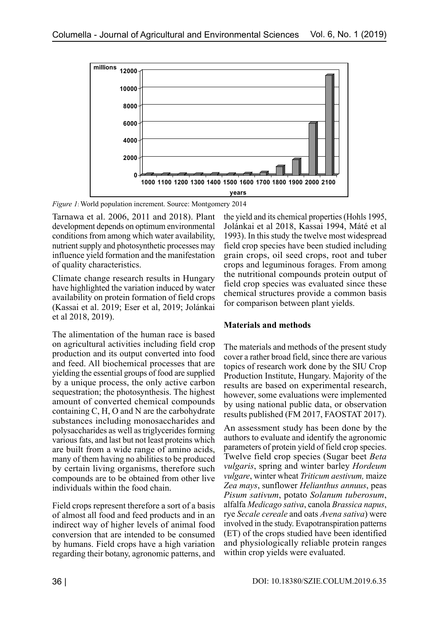

*Figure 1*: World population increment. Source: Montgomery 2014

Tarnawa et al. 2006, 2011 and 2018). Plant development depends on optimum environmental conditions from among which water availability, nutrient supply and photosynthetic processes may influence yield formation and the manifestation of quality characteristics.

Climate change research results in Hungary have highlighted the variation induced by water availability on protein formation of field crops (Kassai et al. 2019; Eser et al, 2019; Jolánkai et al 2018, 2019).

The alimentation of the human race is based on agricultural activities including field crop production and its output converted into food and feed. All biochemical processes that are yielding the essential groups of food are supplied by a unique process, the only active carbon sequestration; the photosynthesis. The highest amount of converted chemical compounds containing C, H, O and N are the carbohydrate substances including monosaccharides and polysaccharides as well as triglycerides forming various fats, and last but not least proteins which are built from a wide range of amino acids, many of them having no abilities to be produced by certain living organisms, therefore such compounds are to be obtained from other live individuals within the food chain.

Field crops represent therefore a sort of a basis of almost all food and feed products and in an indirect way of higher levels of animal food conversion that are intended to be consumed by humans. Field crops have a high variation regarding their botany, agronomic patterns, and

the yield and its chemical properties (Hohls 1995, Jolánkai et al 2018, Kassai 1994, Máté et al 1993). In this study the twelve most widespread field crop species have been studied including grain crops, oil seed crops, root and tuber crops and leguminous forages. From among the nutritional compounds protein output of field crop species was evaluated since these chemical structures provide a common basis for comparison between plant yields.

# **Materials and methods**

The materials and methods of the present study cover a rather broad field, since there are various topics of research work done by the SIU Crop Production Institute, Hungary. Majority of the results are based on experimental research, however, some evaluations were implemented by using national public data, or observation results published (FM 2017, FAOSTAT 2017).

An assessment study has been done by the authors to evaluate and identify the agronomic parameters of protein yield of field crop species. Twelve field crop species (Sugar beet *Beta vulgaris*, spring and winter barley *Hordeum vulgare*, winter wheat *Triticum aestivum,* maize *Zea mays*, sunflower *Helianthus annuus*, peas *Pisum sativum*, potato *Solanum tuberosum*, alfalfa *Medicago sativa*, canola *Brassica napus*, rye *Secale cereale* and oats *Avena sativa*) were involved in the study. Evapotranspiration patterns (ET) of the crops studied have been identified and physiologically reliable protein ranges within crop yields were evaluated.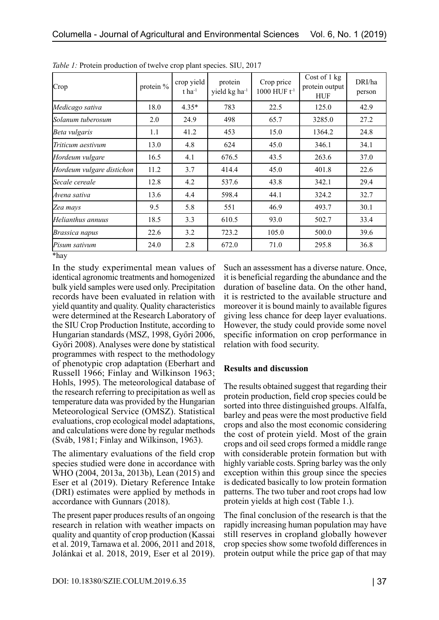| Crop                      | protein % | crop yield<br>$t$ ha <sup>-1</sup> | protein<br>yield kg ha <sup>-1</sup> | Crop price<br>1000 HUF $t^{-1}$ | Cost of 1 kg<br>protein output<br><b>HUF</b> | DRI/ha<br>person |
|---------------------------|-----------|------------------------------------|--------------------------------------|---------------------------------|----------------------------------------------|------------------|
| Medicago sativa           | 18.0      | $4.35*$                            | 783                                  | 22.5                            | 125.0                                        | 42.9             |
| Solanum tuberosum         | 2.0       | 24.9                               | 498                                  | 65.7                            | 3285.0                                       | 27.2             |
| Beta vulgaris             | 1.1       | 41.2                               | 453                                  | 15.0                            | 1364.2                                       | 24.8             |
| Triticum aestivum         | 13.0      | 4.8                                | 624                                  | 45.0                            | 346.1                                        | 34.1             |
| Hordeum vulgare           | 16.5      | 4.1                                | 676.5                                | 43.5                            | 263.6                                        | 37.0             |
| Hordeum vulgare distichon | 11.2      | 3.7                                | 414.4                                | 45.0                            | 401.8                                        | 22.6             |
| Secale cereale            | 12.8      | 4.2                                | 537.6                                | 43.8                            | 342.1                                        | 29.4             |
| Avena sativa              | 13.6      | 4.4                                | 598.4                                | 44.1                            | 324.2                                        | 32.7             |
| Zea mays                  | 9.5       | 5.8                                | 551                                  | 46.9                            | 493.7                                        | 30.1             |
| Helianthus annuus         | 18.5      | 3.3                                | 610.5                                | 93.0                            | 502.7                                        | 33.4             |
| Brassica napus            | 22.6      | 3.2                                | 723.2                                | 105.0                           | 500.0                                        | 39.6             |
| Pisum sativum             | 24.0      | 2.8                                | 672.0                                | 71.0                            | 295.8                                        | 36.8             |
| *hay                      |           |                                    |                                      |                                 |                                              |                  |

*Table 1:* Protein production of twelve crop plant species. SIU, 2017

In the study experimental mean values of identical agronomic treatments and homogenized bulk yield samples were used only. Precipitation records have been evaluated in relation with yield quantity and quality. Quality characteristics were determined at the Research Laboratory of the SIU Crop Production Institute, according to Hungarian standards (MSZ, 1998, Győri 2006, Győri 2008). Analyses were done by statistical programmes with respect to the methodology of phenotypic crop adaptation (Eberhart and Russell 1966; Finlay and Wilkinson 1963; Hohls, 1995). The meteorological database of the research referring to precipitation as well as temperature data was provided by the Hungarian Meteorological Service (OMSZ). Statistical evaluations, crop ecological model adaptations, and calculations were done by regular methods (Sváb, 1981; Finlay and Wilkinson, 1963).

The alimentary evaluations of the field crop species studied were done in accordance with WHO (2004, 2013a, 2013b), Lean (2015) and Eser et al (2019). Dietary Reference Intake (DRI) estimates were applied by methods in accordance with Gunnars (2018).

The present paper produces results of an ongoing research in relation with weather impacts on quality and quantity of crop production (Kassai et al. 2019, Tarnawa et al. 2006, 2011 and 2018, Jolánkai et al. 2018, 2019, Eser et al 2019).

Such an assessment has a diverse nature. Once, it is beneficial regarding the abundance and the duration of baseline data. On the other hand, it is restricted to the available structure and moreover it is bound mainly to available figures giving less chance for deep layer evaluations. However, the study could provide some novel specific information on crop performance in relation with food security.

## **Results and discussion**

The results obtained suggest that regarding their protein production, field crop species could be sorted into three distinguished groups. Alfalfa, barley and peas were the most productive field crops and also the most economic considering the cost of protein yield. Most of the grain crops and oil seed crops formed a middle range with considerable protein formation but with highly variable costs. Spring barley was the only exception within this group since the species is dedicated basically to low protein formation patterns. The two tuber and root crops had low protein yields at high cost (Table 1.).

The final conclusion of the research is that the rapidly increasing human population may have still reserves in cropland globally however crop species show some twofold differences in protein output while the price gap of that may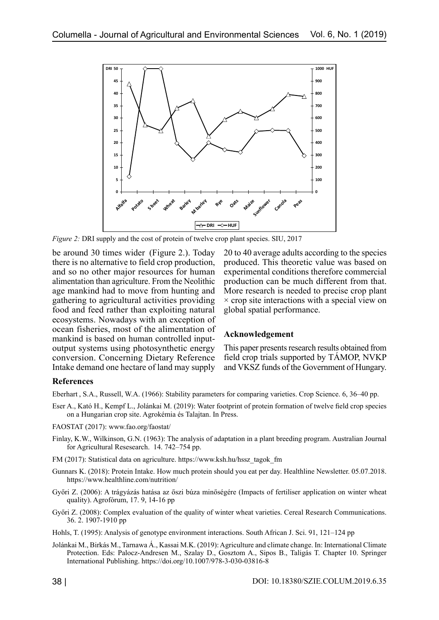

*Figure 2:* DRI supply and the cost of protein of twelve crop plant species. SIU, 2017

be around 30 times wider (Figure 2.). Today there is no alternative to field crop production, and so no other major resources for human alimentation than agriculture. From the Neolithic age mankind had to move from hunting and gathering to agricultural activities providing food and feed rather than exploiting natural ecosystems. Nowadays with an exception of ocean fisheries, most of the alimentation of mankind is based on human controlled inputoutput systems using photosynthetic energy conversion. Concerning Dietary Reference Intake demand one hectare of land may supply

20 to 40 average adults according to the species produced. This theoretic value was based on experimental conditions therefore commercial production can be much different from that. More research is needed to precise crop plant  $\times$  crop site interactions with a special view on global spatial performance.

#### **Acknowledgement**

This paper presents research results obtained from field crop trials supported by TÁMOP, NVKP and VKSZ funds of the Government of Hungary.

## **References**

Eberhart , S.A., Russell, W.A. (1966): Stability parameters for comparing varieties. Crop Science. 6, 36–40 pp.

- Eser A., Kató H., Kempf L., Jolánkai M. (2019): Water footprint of protein formation of twelve field crop species on a Hungarian crop site. Agrokémia és Talajtan. In Press.
- FAOSTAT (2017): www.fao.org/faostat/
- Finlay, K.W., Wilkinson, G.N. (1963): The analysis of adaptation in a plant breeding program. Australian Journal for Agricultural Resesearch. 14. 742–754 pp.
- FM (2017): Statistical data on agriculture. https://www.ksh.hu/hssz\_tagok\_fm
- Gunnars K. (2018): Protein Intake. How much protein should you eat per day. Healthline Newsletter. 05.07.2018. [https://www.healthline.com/nutrition/](https://www.google.com/url?sa=t&rct=j&q=&esrc=s&source=web&cd=3&cad=rja&uact=8&ved=2ahUKEwiKzLvH05_iAhULi8MKHSDDC50QFjACegQIDBAL&url=https%3A%2F%2Fwww.healthline.com%2Fnutrition%2Fhow-much-protein-per-day&usg=AOvVaw0l9O-UVi7-KFEMpmDiJCBf)
- Győri Z. (2006): A trágyázás hatása az őszi búza minőségére (Impacts of fertiliser application on winter wheat quality). Agrofórum, 17. 9, 14-16 pp
- Győri Z. (2008): Complex evaluation of the quality of winter wheat varieties. Cereal Research Communications. 36. 2. 1907-1910 pp
- Hohls, T. (1995): Analysis of genotype environment interactions. South African J. Sci. 91, 121–124 pp
- Jolánkai M., Birkás M., Tarnawa Á., Kassai M.K. (2019): Agriculture and climate change. In: International Climate Protection. Eds: Palocz-Andresen M., Szalay D., Gosztom A., Sipos B., Taligás T. Chapter 10. Springer International Publishing.<https://doi.org/10.1007/978-3-030-03816-8>